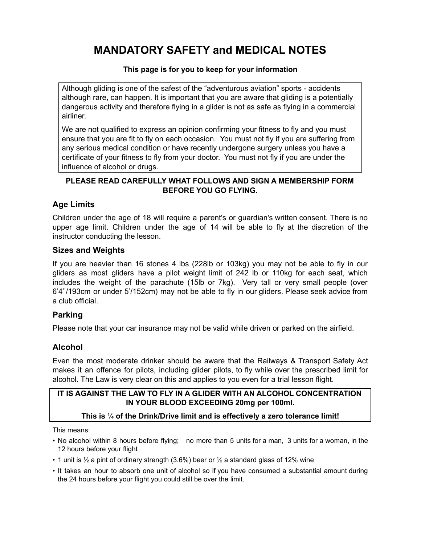# **MANDATORY SAFETY and MEDICAL NOTES**

### **This page is for you to keep for your information**

Although gliding is one of the safest of the "adventurous aviation" sports - accidents although rare, can happen. It is important that you are aware that gliding is a potentially dangerous activity and therefore flying in a glider is not as safe as flying in a commercial airliner.

We are not qualified to express an opinion confirming your fitness to fly and you must ensure that you are fit to fly on each occasion. You must not fly if you are suffering from any serious medical condition or have recently undergone surgery unless you have a certificate of your fitness to fly from your doctor. You must not fly if you are under the influence of alcohol or drugs.

#### **PLEASE READ CAREFULLY WHAT FOLLOWS AND SIGN A MEMBERSHIP FORM BEFORE YOU GO FLYING.**

## **Age Limits**

Children under the age of 18 will require a parent's or guardian's written consent. There is no upper age limit. Children under the age of 14 will be able to fly at the discretion of the instructor conducting the lesson.

#### **Sizes and Weights**

If you are heavier than 16 stones 4 lbs (228lb or 103kg) you may not be able to fly in our gliders as most gliders have a pilot weight limit of 242 lb or 110kg for each seat, which includes the weight of the parachute (15lb or 7kg). Very tall or very small people (over 6'4''/193cm or under 5'/152cm) may not be able to fly in our gliders. Please seek advice from a club official.

## **Parking**

Please note that your car insurance may not be valid while driven or parked on the airfield.

## **Alcohol**

Even the most moderate drinker should be aware that the Railways & Transport Safety Act makes it an offence for pilots, including glider pilots, to fly while over the prescribed limit for alcohol. The Law is very clear on this and applies to you even for a trial lesson flight.

#### **IT IS AGAINST THE LAW TO FLY IN A GLIDER WITH AN ALCOHOL CONCENTRATION IN YOUR BLOOD EXCEEDING 20mg per 100ml.**

#### **This is ¼ of the Drink/Drive limit and is effectively a zero tolerance limit!**

This means:

- No alcohol within 8 hours before flying; no more than 5 units for a man, 3 units for a woman, in the 12 hours before your flight
- 1 unit is  $\frac{1}{2}$  a pint of ordinary strength (3.6%) beer or  $\frac{1}{2}$  a standard glass of 12% wine
- It takes an hour to absorb one unit of alcohol so if you have consumed a substantial amount during the 24 hours before your flight you could still be over the limit.